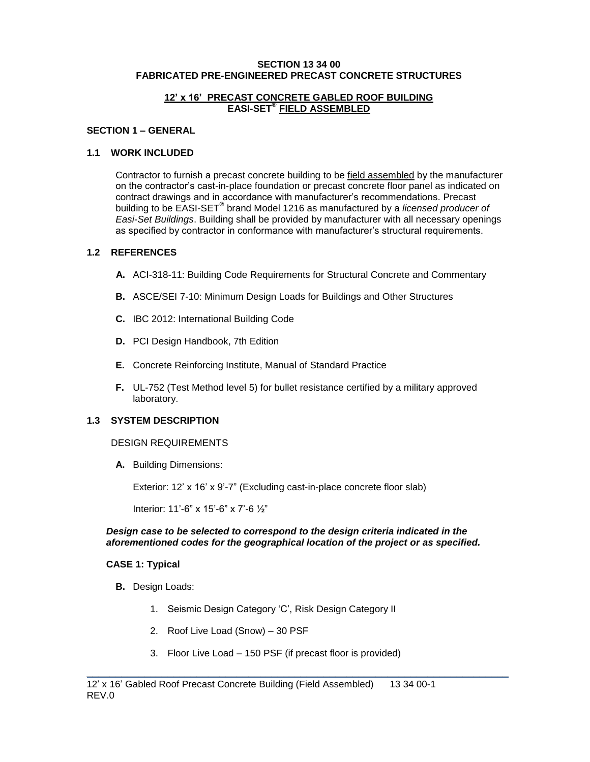#### **SECTION 13 34 00 FABRICATED PRE-ENGINEERED PRECAST CONCRETE STRUCTURES**

#### **12' x 16' PRECAST CONCRETE GABLED ROOF BUILDING EASI-SET® FIELD ASSEMBLED**

#### **SECTION 1 – GENERAL**

### **1.1 WORK INCLUDED**

Contractor to furnish a precast concrete building to be field assembled by the manufacturer on the contractor's cast-in-place foundation or precast concrete floor panel as indicated on contract drawings and in accordance with manufacturer's recommendations. Precast building to be EASI-SET® brand Model 1216 as manufactured by a *licensed producer of Easi-Set Buildings*. Building shall be provided by manufacturer with all necessary openings as specified by contractor in conformance with manufacturer's structural requirements.

#### **1.2 REFERENCES**

- **A.** ACI-318-11: Building Code Requirements for Structural Concrete and Commentary
- **B.** ASCE/SEI 7-10: Minimum Design Loads for Buildings and Other Structures
- **C.** IBC 2012: International Building Code
- **D.** PCI Design Handbook, 7th Edition
- **E.** Concrete Reinforcing Institute, Manual of Standard Practice
- **F.** UL-752 (Test Method level 5) for bullet resistance certified by a military approved laboratory.

#### **1.3 SYSTEM DESCRIPTION**

#### DESIGN REQUIREMENTS

**A.** Building Dimensions:

Exterior: 12' x 16' x 9'-7" (Excluding cast-in-place concrete floor slab)

Interior: 11'-6" x 15'-6" x 7'-6 ½"

#### *Design case to be selected to correspond to the design criteria indicated in the aforementioned codes for the geographical location of the project or as specified.*

#### **CASE 1: Typical**

- **B.** Design Loads:
	- 1. Seismic Design Category 'C', Risk Design Category II
	- 2. Roof Live Load (Snow) 30 PSF
	- 3. Floor Live Load 150 PSF (if precast floor is provided)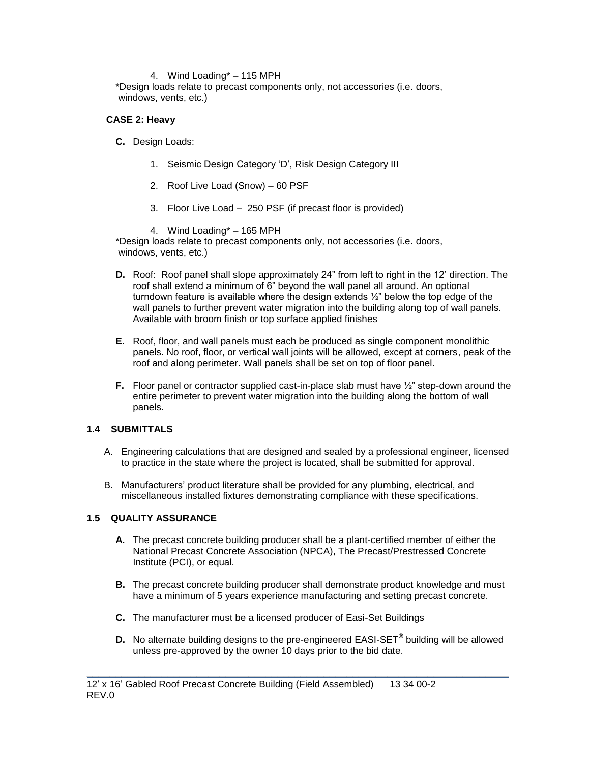### 4. Wind Loading\* – 115 MPH

\*Design loads relate to precast components only, not accessories (i.e. doors, windows, vents, etc.)

## **CASE 2: Heavy**

- **C.** Design Loads:
	- 1. Seismic Design Category 'D', Risk Design Category III
	- 2. Roof Live Load (Snow) 60 PSF
	- 3. Floor Live Load 250 PSF (if precast floor is provided)
	- 4. Wind Loading\* 165 MPH

\*Design loads relate to precast components only, not accessories (i.e. doors, windows, vents, etc.)

- **D.** Roof: Roof panel shall slope approximately 24" from left to right in the 12' direction. The roof shall extend a minimum of 6" beyond the wall panel all around. An optional turndown feature is available where the design extends ½" below the top edge of the wall panels to further prevent water migration into the building along top of wall panels. Available with broom finish or top surface applied finishes
- **E.** Roof, floor, and wall panels must each be produced as single component monolithic panels. No roof, floor, or vertical wall joints will be allowed, except at corners, peak of the roof and along perimeter. Wall panels shall be set on top of floor panel.
- **F.** Floor panel or contractor supplied cast-in-place slab must have  $\frac{1}{2}$ " step-down around the entire perimeter to prevent water migration into the building along the bottom of wall panels.

# **1.4 SUBMITTALS**

- A. Engineering calculations that are designed and sealed by a professional engineer, licensed to practice in the state where the project is located, shall be submitted for approval.
- B. Manufacturers' product literature shall be provided for any plumbing, electrical, and miscellaneous installed fixtures demonstrating compliance with these specifications.

# **1.5 QUALITY ASSURANCE**

- **A.** The precast concrete building producer shall be a plant-certified member of either the National Precast Concrete Association (NPCA), The Precast/Prestressed Concrete Institute (PCI), or equal.
- **B.** The precast concrete building producer shall demonstrate product knowledge and must have a minimum of 5 years experience manufacturing and setting precast concrete.
- **C.** The manufacturer must be a licensed producer of Easi-Set Buildings
- **D.** No alternate building designs to the pre-engineered EASI-SET**®** building will be allowed unless pre-approved by the owner 10 days prior to the bid date.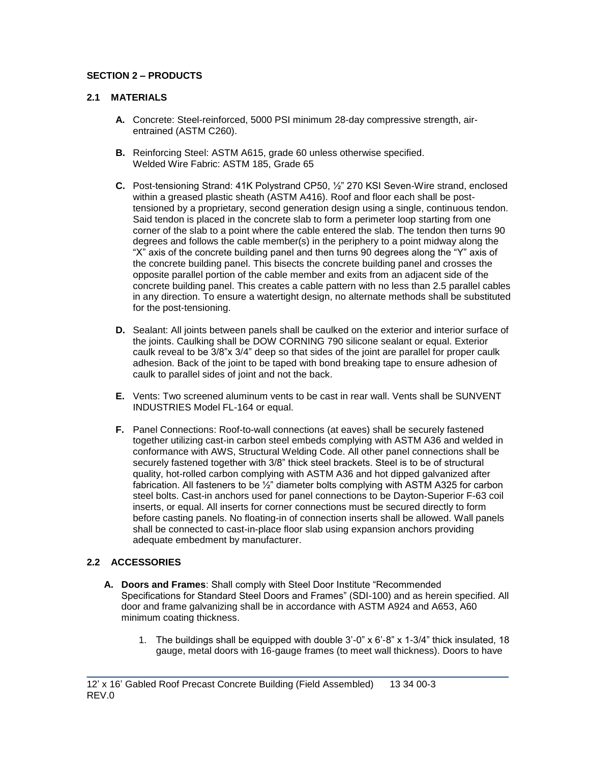# **SECTION 2 – PRODUCTS**

# **2.1 MATERIALS**

- **A.** Concrete: Steel-reinforced, 5000 PSI minimum 28-day compressive strength, airentrained (ASTM C260).
- **B.** Reinforcing Steel: ASTM A615, grade 60 unless otherwise specified. Welded Wire Fabric: ASTM 185, Grade 65
- **C.** Post-tensioning Strand: 41K Polystrand CP50, ½" 270 KSI Seven-Wire strand, enclosed within a greased plastic sheath (ASTM A416). Roof and floor each shall be posttensioned by a proprietary, second generation design using a single, continuous tendon. Said tendon is placed in the concrete slab to form a perimeter loop starting from one corner of the slab to a point where the cable entered the slab. The tendon then turns 90 degrees and follows the cable member(s) in the periphery to a point midway along the "X" axis of the concrete building panel and then turns 90 degrees along the "Y" axis of the concrete building panel. This bisects the concrete building panel and crosses the opposite parallel portion of the cable member and exits from an adjacent side of the concrete building panel. This creates a cable pattern with no less than 2.5 parallel cables in any direction. To ensure a watertight design, no alternate methods shall be substituted for the post-tensioning.
- **D.** Sealant: All joints between panels shall be caulked on the exterior and interior surface of the joints. Caulking shall be DOW CORNING 790 silicone sealant or equal. Exterior caulk reveal to be 3/8"x 3/4" deep so that sides of the joint are parallel for proper caulk adhesion. Back of the joint to be taped with bond breaking tape to ensure adhesion of caulk to parallel sides of joint and not the back.
- **E.** Vents: Two screened aluminum vents to be cast in rear wall. Vents shall be SUNVENT INDUSTRIES Model FL-164 or equal.
- **F.** Panel Connections: Roof-to-wall connections (at eaves) shall be securely fastened together utilizing cast-in carbon steel embeds complying with ASTM A36 and welded in conformance with AWS, Structural Welding Code. All other panel connections shall be securely fastened together with 3/8" thick steel brackets. Steel is to be of structural quality, hot-rolled carbon complying with ASTM A36 and hot dipped galvanized after fabrication. All fasteners to be ½" diameter bolts complying with ASTM A325 for carbon steel bolts. Cast-in anchors used for panel connections to be Dayton-Superior F-63 coil inserts, or equal. All inserts for corner connections must be secured directly to form before casting panels. No floating-in of connection inserts shall be allowed. Wall panels shall be connected to cast-in-place floor slab using expansion anchors providing adequate embedment by manufacturer.

# **2.2 ACCESSORIES**

**A. Doors and Frames**: Shall comply with Steel Door Institute "Recommended Specifications for Standard Steel Doors and Frames" (SDI-100) and as herein specified. All door and frame galvanizing shall be in accordance with ASTM A924 and A653, A60 minimum coating thickness.

\_\_\_\_\_\_\_\_\_\_\_\_\_\_\_\_\_\_\_\_\_\_\_\_\_\_\_\_\_\_\_\_\_\_\_\_\_\_\_\_\_\_\_\_\_\_\_\_\_\_\_\_\_\_\_\_\_\_\_\_\_\_\_\_\_\_\_\_\_\_\_\_\_

1. The buildings shall be equipped with double 3'-0" x 6'-8" x 1-3/4" thick insulated, 18 gauge, metal doors with 16-gauge frames (to meet wall thickness). Doors to have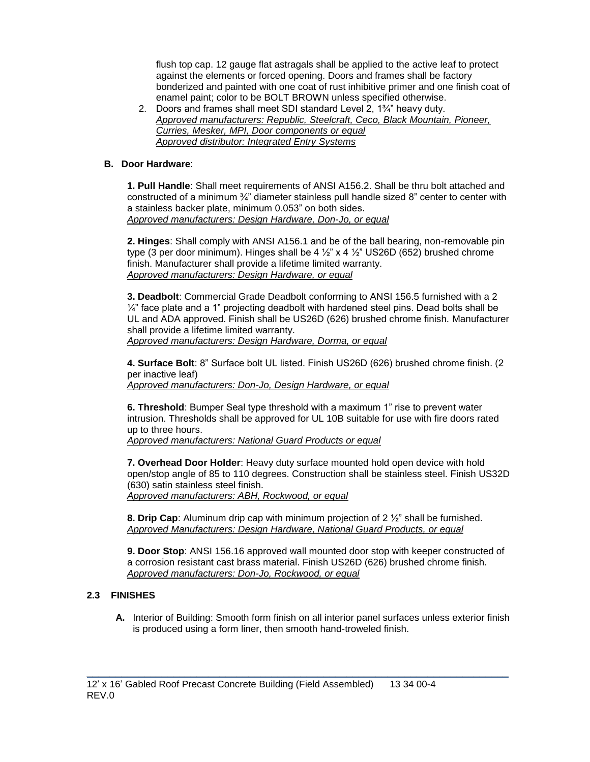flush top cap. 12 gauge flat astragals shall be applied to the active leaf to protect against the elements or forced opening. Doors and frames shall be factory bonderized and painted with one coat of rust inhibitive primer and one finish coat of enamel paint; color to be BOLT BROWN unless specified otherwise.

2. Doors and frames shall meet SDI standard Level 2, 1¾" heavy duty. *Approved manufacturers: Republic, Steelcraft, Ceco, Black Mountain, Pioneer, Curries, Mesker, MPI, Door components or equal Approved distributor: Integrated Entry Systems*

# **B. Door Hardware**:

**1. Pull Handle**: Shall meet requirements of ANSI A156.2. Shall be thru bolt attached and constructed of a minimum  $\frac{3}{4}$ " diameter stainless pull handle sized 8" center to center with a stainless backer plate, minimum 0.053" on both sides. *Approved manufacturers: Design Hardware, Don-Jo, or equal*

**2. Hinges**: Shall comply with ANSI A156.1 and be of the ball bearing, non-removable pin type (3 per door minimum). Hinges shall be 4  $\frac{1}{2}$  x 4  $\frac{1}{2}$  US26D (652) brushed chrome finish. Manufacturer shall provide a lifetime limited warranty. *Approved manufacturers: Design Hardware, or equal*

**3. Deadbolt**: Commercial Grade Deadbolt conforming to ANSI 156.5 furnished with a 2  $\frac{1}{4}$ " face plate and a 1" projecting deadbolt with hardened steel pins. Dead bolts shall be UL and ADA approved. Finish shall be US26D (626) brushed chrome finish. Manufacturer shall provide a lifetime limited warranty. *Approved manufacturers: Design Hardware, Dorma, or equal*

**4. Surface Bolt**: 8" Surface bolt UL listed. Finish US26D (626) brushed chrome finish. (2 per inactive leaf)

*Approved manufacturers: Don-Jo, Design Hardware, or equal*

**6. Threshold**: Bumper Seal type threshold with a maximum 1" rise to prevent water intrusion. Thresholds shall be approved for UL 10B suitable for use with fire doors rated up to three hours.

*Approved manufacturers: National Guard Products or equal* 

**7. Overhead Door Holder**: Heavy duty surface mounted hold open device with hold open/stop angle of 85 to 110 degrees. Construction shall be stainless steel. Finish US32D (630) satin stainless steel finish. *Approved manufacturers: ABH, Rockwood, or equal*

**8. Drip Cap**: Aluminum drip cap with minimum projection of 2 ½" shall be furnished. *Approved Manufacturers: Design Hardware, National Guard Products, or equal*

**9. Door Stop**: ANSI 156.16 approved wall mounted door stop with keeper constructed of a corrosion resistant cast brass material. Finish US26D (626) brushed chrome finish. *Approved manufacturers: Don-Jo, Rockwood, or equal*

# **2.3 FINISHES**

**A.** Interior of Building: Smooth form finish on all interior panel surfaces unless exterior finish is produced using a form liner, then smooth hand-troweled finish.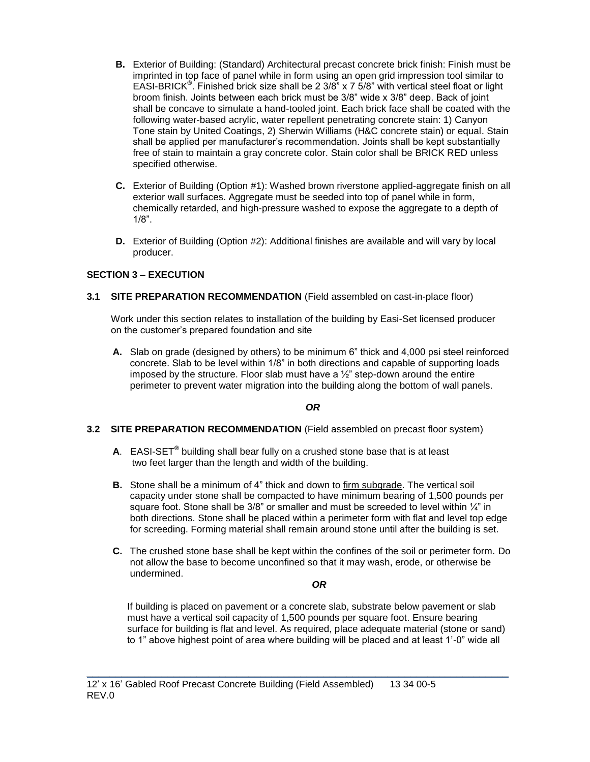- **B.** Exterior of Building: (Standard) Architectural precast concrete brick finish: Finish must be imprinted in top face of panel while in form using an open grid impression tool similar to EASI-BRICK**®** . Finished brick size shall be 2 3/8" x 7 5/8" with vertical steel float or light broom finish. Joints between each brick must be 3/8" wide x 3/8" deep. Back of joint shall be concave to simulate a hand-tooled joint. Each brick face shall be coated with the following water-based acrylic, water repellent penetrating concrete stain: 1) Canyon Tone stain by United Coatings, 2) Sherwin Williams (H&C concrete stain) or equal. Stain shall be applied per manufacturer's recommendation. Joints shall be kept substantially free of stain to maintain a gray concrete color. Stain color shall be BRICK RED unless specified otherwise.
- **C.** Exterior of Building (Option #1): Washed brown riverstone applied-aggregate finish on all exterior wall surfaces. Aggregate must be seeded into top of panel while in form, chemically retarded, and high-pressure washed to expose the aggregate to a depth of 1/8".
- **D.** Exterior of Building (Option #2): Additional finishes are available and will vary by local producer.

# **SECTION 3 – EXECUTION**

### **3.1 SITE PREPARATION RECOMMENDATION** (Field assembled on cast-in-place floor)

Work under this section relates to installation of the building by Easi-Set licensed producer on the customer's prepared foundation and site

**A.** Slab on grade (designed by others) to be minimum 6" thick and 4,000 psi steel reinforced concrete. Slab to be level within 1/8" in both directions and capable of supporting loads imposed by the structure. Floor slab must have a  $\frac{1}{2}$ " step-down around the entire perimeter to prevent water migration into the building along the bottom of wall panels.

# *OR*

### **3.2 SITE PREPARATION RECOMMENDATION** (Field assembled on precast floor system)

- **A**. EASI-SET**®** building shall bear fully on a crushed stone base that is at least two feet larger than the length and width of the building.
- **B.** Stone shall be a minimum of 4" thick and down to firm subgrade. The vertical soil capacity under stone shall be compacted to have minimum bearing of 1,500 pounds per square foot. Stone shall be  $3/8$ " or smaller and must be screeded to level within  $\frac{1}{4}$ " in both directions. Stone shall be placed within a perimeter form with flat and level top edge for screeding. Forming material shall remain around stone until after the building is set.
- **C.** The crushed stone base shall be kept within the confines of the soil or perimeter form. Do not allow the base to become unconfined so that it may wash, erode, or otherwise be undermined.

#### *OR*

If building is placed on pavement or a concrete slab, substrate below pavement or slab must have a vertical soil capacity of 1,500 pounds per square foot. Ensure bearing surface for building is flat and level. As required, place adequate material (stone or sand) to 1" above highest point of area where building will be placed and at least 1'-0" wide all